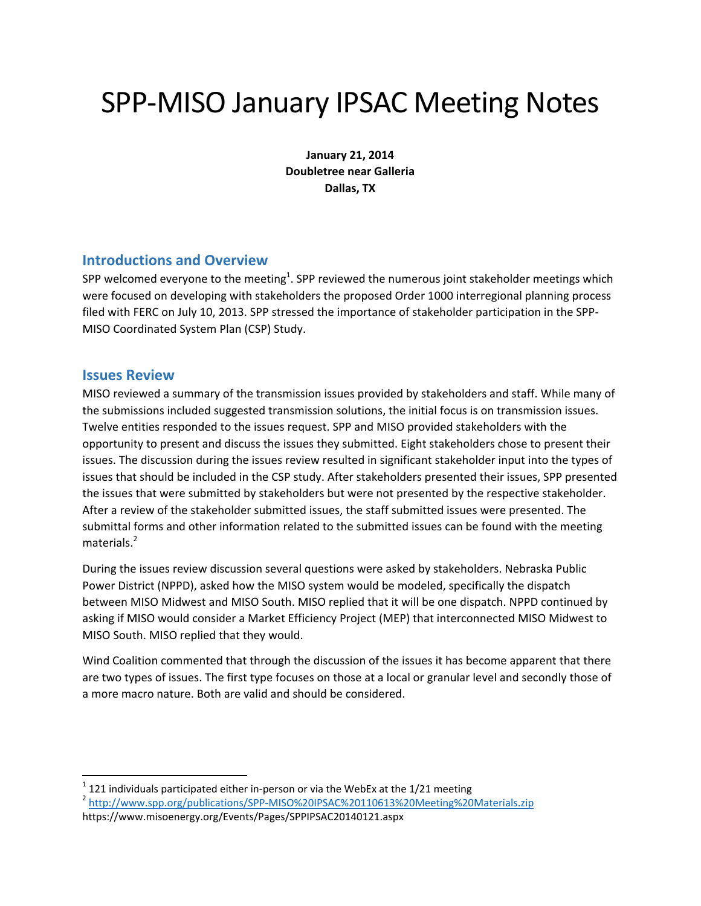# SPP‐MISO January IPSAC Meeting Notes

**January 21, 2014 Doubletree near Galleria Dallas, TX**

#### **Introductions and Overview**

SPP welcomed everyone to the meeting $^1$ . SPP reviewed the numerous joint stakeholder meetings which were focused on developing with stakeholders the proposed Order 1000 interregional planning process filed with FERC on July 10, 2013. SPP stressed the importance of stakeholder participation in the SPP‐ MISO Coordinated System Plan (CSP) Study.

#### **Issues Review**

MISO reviewed a summary of the transmission issues provided by stakeholders and staff. While many of the submissions included suggested transmission solutions, the initial focus is on transmission issues. Twelve entities responded to the issues request. SPP and MISO provided stakeholders with the opportunity to present and discuss the issues they submitted. Eight stakeholders chose to present their issues. The discussion during the issues review resulted in significant stakeholder input into the types of issues that should be included in the CSP study. After stakeholders presented their issues, SPP presented the issues that were submitted by stakeholders but were not presented by the respective stakeholder. After a review of the stakeholder submitted issues, the staff submitted issues were presented. The submittal forms and other information related to the submitted issues can be found with the meeting materials.<sup>2</sup>

During the issues review discussion several questions were asked by stakeholders. Nebraska Public Power District (NPPD), asked how the MISO system would be modeled, specifically the dispatch between MISO Midwest and MISO South. MISO replied that it will be one dispatch. NPPD continued by asking if MISO would consider a Market Efficiency Project (MEP) that interconnected MISO Midwest to MISO South. MISO replied that they would.

Wind Coalition commented that through the discussion of the issues it has become apparent that there are two types of issues. The first type focuses on those at a local or granular level and secondly those of a more macro nature. Both are valid and should be considered.

<sup>&</sup>lt;sup>1</sup> 121 individuals participated either in-person or via the WebEx at the 1/21 meeting <sup>2</sup> http://www.spp.org/publications/SPP-MISO%20IPSAC%20110613%20Meeting%20Materials.zip https://www.misoenergy.org/Events/Pages/SPPIPSAC20140121.aspx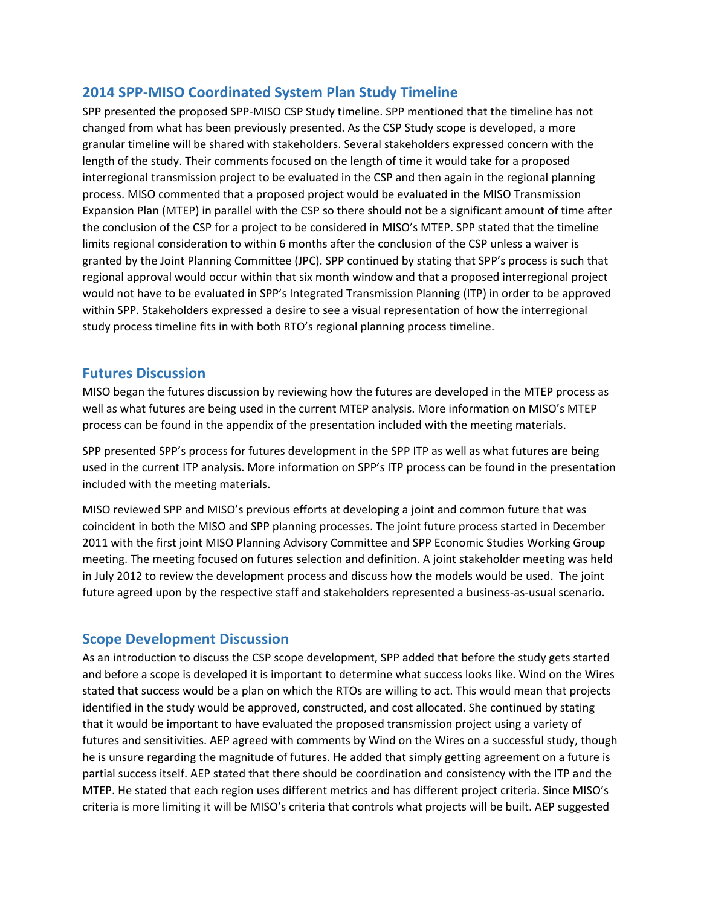## **2014 SPP‐MISO Coordinated System Plan Study Timeline**

SPP presented the proposed SPP-MISO CSP Study timeline. SPP mentioned that the timeline has not changed from what has been previously presented. As the CSP Study scope is developed, a more granular timeline will be shared with stakeholders. Several stakeholders expressed concern with the length of the study. Their comments focused on the length of time it would take for a proposed interregional transmission project to be evaluated in the CSP and then again in the regional planning process. MISO commented that a proposed project would be evaluated in the MISO Transmission Expansion Plan (MTEP) in parallel with the CSP so there should not be a significant amount of time after the conclusion of the CSP for a project to be considered in MISO's MTEP. SPP stated that the timeline limits regional consideration to within 6 months after the conclusion of the CSP unless a waiver is granted by the Joint Planning Committee (JPC). SPP continued by stating that SPP's process is such that regional approval would occur within that six month window and that a proposed interregional project would not have to be evaluated in SPP's Integrated Transmission Planning (ITP) in order to be approved within SPP. Stakeholders expressed a desire to see a visual representation of how the interregional study process timeline fits in with both RTO's regional planning process timeline.

#### **Futures Discussion**

MISO began the futures discussion by reviewing how the futures are developed in the MTEP process as well as what futures are being used in the current MTEP analysis. More information on MISO's MTEP process can be found in the appendix of the presentation included with the meeting materials.

SPP presented SPP's process for futures development in the SPP ITP as well as what futures are being used in the current ITP analysis. More information on SPP's ITP process can be found in the presentation included with the meeting materials.

MISO reviewed SPP and MISO's previous efforts at developing a joint and common future that was coincident in both the MISO and SPP planning processes. The joint future process started in December 2011 with the first joint MISO Planning Advisory Committee and SPP Economic Studies Working Group meeting. The meeting focused on futures selection and definition. A joint stakeholder meeting was held in July 2012 to review the development process and discuss how the models would be used. The joint future agreed upon by the respective staff and stakeholders represented a business‐as‐usual scenario.

### **Scope Development Discussion**

As an introduction to discuss the CSP scope development, SPP added that before the study gets started and before a scope is developed it is important to determine what success looks like. Wind on the Wires stated that success would be a plan on which the RTOs are willing to act. This would mean that projects identified in the study would be approved, constructed, and cost allocated. She continued by stating that it would be important to have evaluated the proposed transmission project using a variety of futures and sensitivities. AEP agreed with comments by Wind on the Wires on a successful study, though he is unsure regarding the magnitude of futures. He added that simply getting agreement on a future is partial success itself. AEP stated that there should be coordination and consistency with the ITP and the MTEP. He stated that each region uses different metrics and has different project criteria. Since MISO's criteria is more limiting it will be MISO's criteria that controls what projects will be built. AEP suggested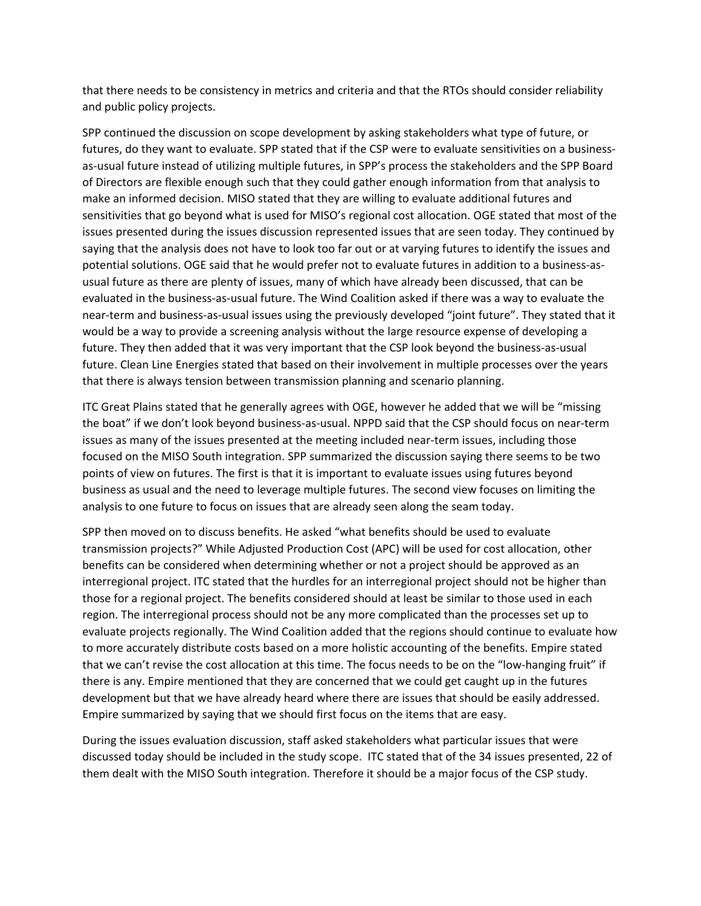that there needs to be consistency in metrics and criteria and that the RTOs should consider reliability and public policy projects.

SPP continued the discussion on scope development by asking stakeholders what type of future, or futures, do they want to evaluate. SPP stated that if the CSP were to evaluate sensitivities on a businessas-usual future instead of utilizing multiple futures, in SPP's process the stakeholders and the SPP Board of Directors are flexible enough such that they could gather enough information from that analysis to make an informed decision. MISO stated that they are willing to evaluate additional futures and sensitivities that go beyond what is used for MISO's regional cost allocation. OGE stated that most of the issues presented during the issues discussion represented issues that are seen today. They continued by saying that the analysis does not have to look too far out or at varying futures to identify the issues and potential solutions. OGE said that he would prefer not to evaluate futures in addition to a business‐as‐ usual future as there are plenty of issues, many of which have already been discussed, that can be evaluated in the business‐as‐usual future. The Wind Coalition asked if there was a way to evaluate the near-term and business-as-usual issues using the previously developed "joint future". They stated that it would be a way to provide a screening analysis without the large resource expense of developing a future. They then added that it was very important that the CSP look beyond the business‐as‐usual future. Clean Line Energies stated that based on their involvement in multiple processes over the years that there is always tension between transmission planning and scenario planning.

ITC Great Plains stated that he generally agrees with OGE, however he added that we will be "missing the boat" if we don't look beyond business‐as‐usual. NPPD said that the CSP should focus on near‐term issues as many of the issues presented at the meeting included near-term issues, including those focused on the MISO South integration. SPP summarized the discussion saying there seems to be two points of view on futures. The first is that it is important to evaluate issues using futures beyond business as usual and the need to leverage multiple futures. The second view focuses on limiting the analysis to one future to focus on issues that are already seen along the seam today.

SPP then moved on to discuss benefits. He asked "what benefits should be used to evaluate transmission projects?" While Adjusted Production Cost (APC) will be used for cost allocation, other benefits can be considered when determining whether or not a project should be approved as an interregional project. ITC stated that the hurdles for an interregional project should not be higher than those for a regional project. The benefits considered should at least be similar to those used in each region. The interregional process should not be any more complicated than the processes set up to evaluate projects regionally. The Wind Coalition added that the regions should continue to evaluate how to more accurately distribute costs based on a more holistic accounting of the benefits. Empire stated that we can't revise the cost allocation at this time. The focus needs to be on the "low‐hanging fruit" if there is any. Empire mentioned that they are concerned that we could get caught up in the futures development but that we have already heard where there are issues that should be easily addressed. Empire summarized by saying that we should first focus on the items that are easy.

During the issues evaluation discussion, staff asked stakeholders what particular issues that were discussed today should be included in the study scope. ITC stated that of the 34 issues presented, 22 of them dealt with the MISO South integration. Therefore it should be a major focus of the CSP study.